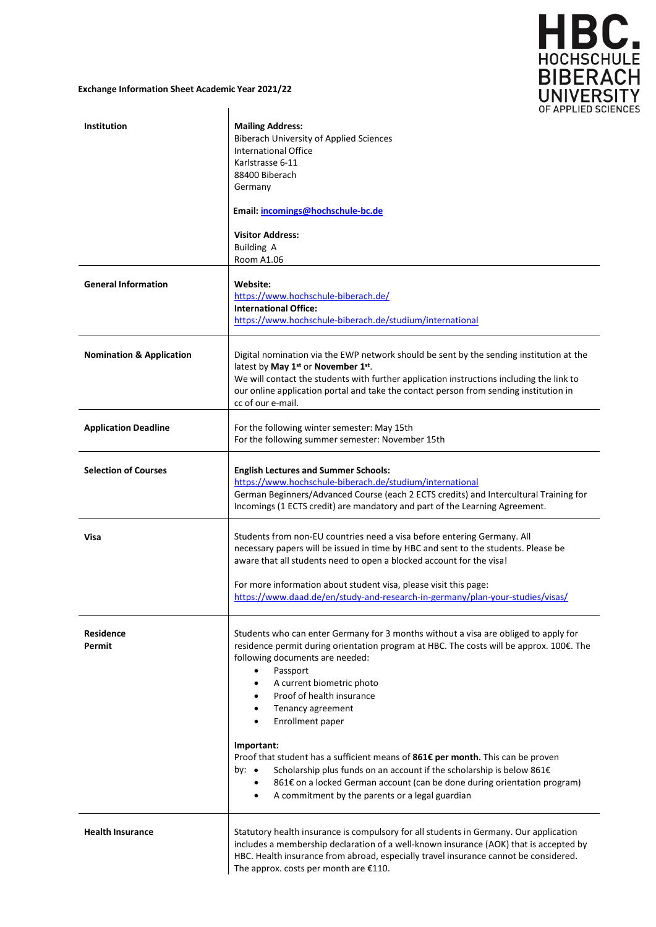

## **Exchange Information Sheet Academic Year 2021/22**

|                                     | OF APPLIED SC                                                                                                                                                                                                                                                                                                                                                                                                                                                                                                                                                                                                                                                                                                                            |
|-------------------------------------|------------------------------------------------------------------------------------------------------------------------------------------------------------------------------------------------------------------------------------------------------------------------------------------------------------------------------------------------------------------------------------------------------------------------------------------------------------------------------------------------------------------------------------------------------------------------------------------------------------------------------------------------------------------------------------------------------------------------------------------|
| <b>Institution</b>                  | <b>Mailing Address:</b><br><b>Biberach University of Applied Sciences</b><br><b>International Office</b><br>Karlstrasse 6-11<br>88400 Biberach<br>Germany                                                                                                                                                                                                                                                                                                                                                                                                                                                                                                                                                                                |
|                                     | Email: incomings@hochschule-bc.de<br><b>Visitor Address:</b>                                                                                                                                                                                                                                                                                                                                                                                                                                                                                                                                                                                                                                                                             |
|                                     | <b>Building A</b><br>Room A1.06                                                                                                                                                                                                                                                                                                                                                                                                                                                                                                                                                                                                                                                                                                          |
| <b>General Information</b>          | Website:<br>https://www.hochschule-biberach.de/<br><b>International Office:</b><br>https://www.hochschule-biberach.de/studium/international                                                                                                                                                                                                                                                                                                                                                                                                                                                                                                                                                                                              |
| <b>Nomination &amp; Application</b> | Digital nomination via the EWP network should be sent by the sending institution at the<br>latest by May 1st or November 1st.<br>We will contact the students with further application instructions including the link to<br>our online application portal and take the contact person from sending institution in<br>cc of our e-mail.                                                                                                                                                                                                                                                                                                                                                                                                  |
| <b>Application Deadline</b>         | For the following winter semester: May 15th<br>For the following summer semester: November 15th                                                                                                                                                                                                                                                                                                                                                                                                                                                                                                                                                                                                                                          |
| <b>Selection of Courses</b>         | <b>English Lectures and Summer Schools:</b><br>https://www.hochschule-biberach.de/studium/international<br>German Beginners/Advanced Course (each 2 ECTS credits) and Intercultural Training for<br>Incomings (1 ECTS credit) are mandatory and part of the Learning Agreement.                                                                                                                                                                                                                                                                                                                                                                                                                                                          |
| Visa                                | Students from non-EU countries need a visa before entering Germany. All<br>necessary papers will be issued in time by HBC and sent to the students. Please be<br>aware that all students need to open a blocked account for the visa!<br>For more information about student visa, please visit this page:<br>https://www.daad.de/en/study-and-research-in-germany/plan-your-studies/visas/                                                                                                                                                                                                                                                                                                                                               |
| <b>Residence</b><br>Permit          | Students who can enter Germany for 3 months without a visa are obliged to apply for<br>residence permit during orientation program at HBC. The costs will be approx. 100€. The<br>following documents are needed:<br>Passport<br>$\bullet$<br>A current biometric photo<br>$\bullet$<br>Proof of health insurance<br>$\bullet$<br>Tenancy agreement<br>$\bullet$<br>Enrollment paper<br>Important:<br>Proof that student has a sufficient means of 861€ per month. This can be proven<br>Scholarship plus funds on an account if the scholarship is below 861€<br>by: $\bullet$<br>861€ on a locked German account (can be done during orientation program)<br>$\bullet$<br>A commitment by the parents or a legal guardian<br>$\bullet$ |
| <b>Health Insurance</b>             | Statutory health insurance is compulsory for all students in Germany. Our application<br>includes a membership declaration of a well-known insurance (AOK) that is accepted by<br>HBC. Health insurance from abroad, especially travel insurance cannot be considered.<br>The approx. costs per month are €110.                                                                                                                                                                                                                                                                                                                                                                                                                          |